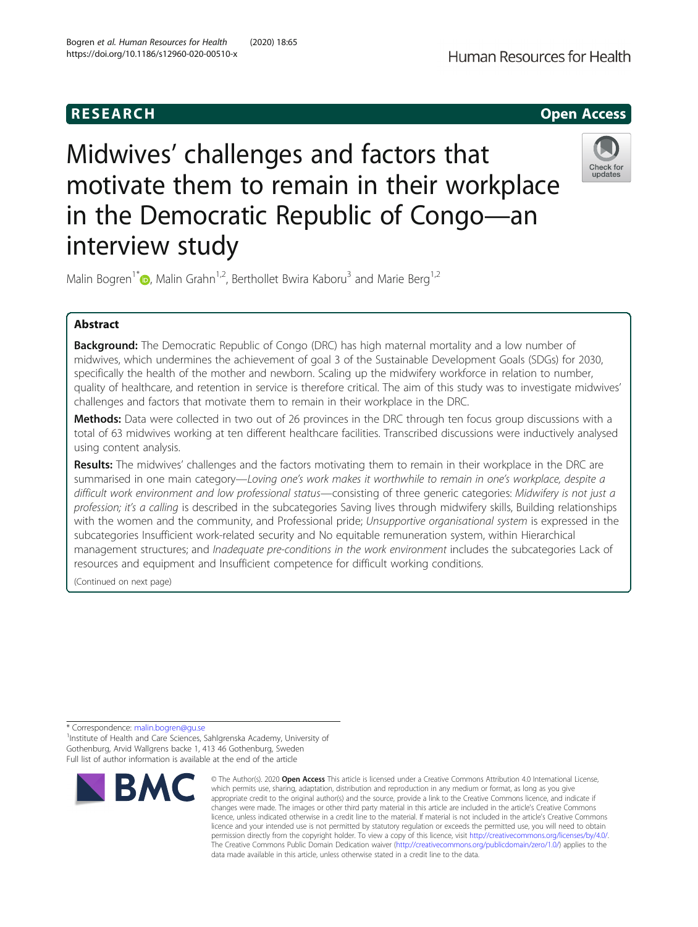

# Midwives' challenges and factors that motivate them to remain in their workplace in the Democratic Republic of Congo—an interview study



Malin Bogren<sup>1[\\*](http://orcid.org/0000-0003-2432-8097)</sup>  $\bullet$ , Malin Grahn<sup>1,2</sup>, Berthollet Bwira Kaboru<sup>3</sup> and Marie Berg<sup>1,2</sup>

# Abstract

**Background:** The Democratic Republic of Congo (DRC) has high maternal mortality and a low number of midwives, which undermines the achievement of goal 3 of the Sustainable Development Goals (SDGs) for 2030, specifically the health of the mother and newborn. Scaling up the midwifery workforce in relation to number, quality of healthcare, and retention in service is therefore critical. The aim of this study was to investigate midwives' challenges and factors that motivate them to remain in their workplace in the DRC.

**Methods:** Data were collected in two out of 26 provinces in the DRC through ten focus group discussions with a total of 63 midwives working at ten different healthcare facilities. Transcribed discussions were inductively analysed using content analysis.

Results: The midwives' challenges and the factors motivating them to remain in their workplace in the DRC are summarised in one main category—Loving one's work makes it worthwhile to remain in one's workplace, despite a difficult work environment and low professional status—consisting of three generic categories: Midwifery is not just a profession; it's a calling is described in the subcategories Saving lives through midwifery skills, Building relationships with the women and the community, and Professional pride; Unsupportive organisational system is expressed in the subcategories Insufficient work-related security and No equitable remuneration system, within Hierarchical management structures; and Inadequate pre-conditions in the work environment includes the subcategories Lack of resources and equipment and Insufficient competence for difficult working conditions.

(Continued on next page)

\* Correspondence: [malin.bogren@gu.se](mailto:malin.bogren@gu.se) <sup>1</sup>

<sup>1</sup> Institute of Health and Care Sciences, Sahlgrenska Academy, University of Gothenburg, Arvid Wallgrens backe 1, 413 46 Gothenburg, Sweden Full list of author information is available at the end of the article



<sup>©</sup> The Author(s), 2020 **Open Access** This article is licensed under a Creative Commons Attribution 4.0 International License, which permits use, sharing, adaptation, distribution and reproduction in any medium or format, as long as you give appropriate credit to the original author(s) and the source, provide a link to the Creative Commons licence, and indicate if changes were made. The images or other third party material in this article are included in the article's Creative Commons licence, unless indicated otherwise in a credit line to the material. If material is not included in the article's Creative Commons licence and your intended use is not permitted by statutory regulation or exceeds the permitted use, you will need to obtain permission directly from the copyright holder. To view a copy of this licence, visit [http://creativecommons.org/licenses/by/4.0/.](http://creativecommons.org/licenses/by/4.0/) The Creative Commons Public Domain Dedication waiver [\(http://creativecommons.org/publicdomain/zero/1.0/](http://creativecommons.org/publicdomain/zero/1.0/)) applies to the data made available in this article, unless otherwise stated in a credit line to the data.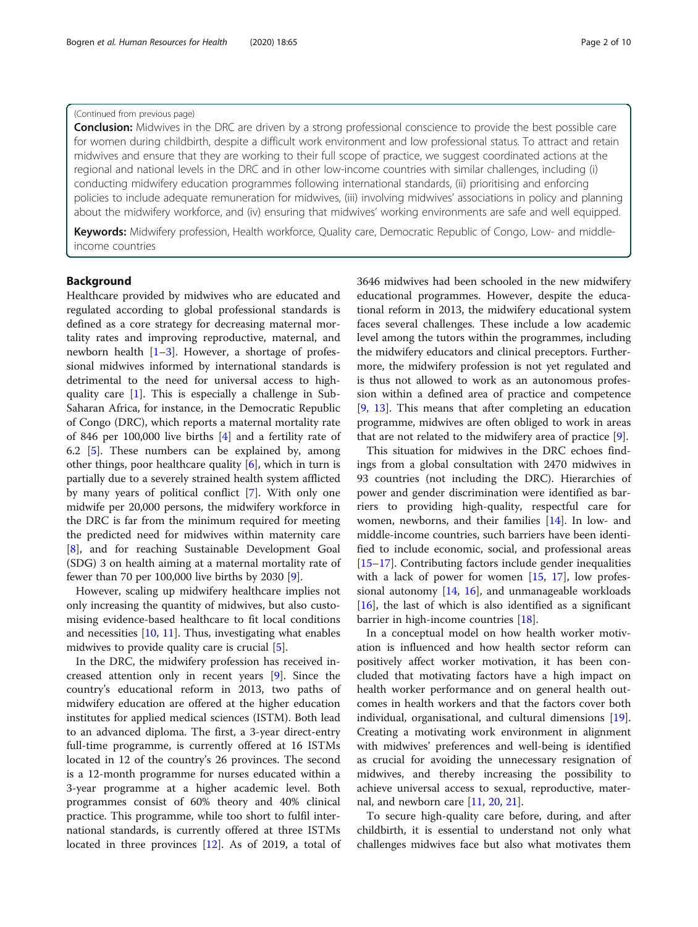# (Continued from previous page)

**Conclusion:** Midwives in the DRC are driven by a strong professional conscience to provide the best possible care for women during childbirth, despite a difficult work environment and low professional status. To attract and retain midwives and ensure that they are working to their full scope of practice, we suggest coordinated actions at the regional and national levels in the DRC and in other low-income countries with similar challenges, including (i) conducting midwifery education programmes following international standards, (ii) prioritising and enforcing policies to include adequate remuneration for midwives, (iii) involving midwives' associations in policy and planning about the midwifery workforce, and (iv) ensuring that midwives' working environments are safe and well equipped.

Keywords: Midwifery profession, Health workforce, Quality care, Democratic Republic of Congo, Low- and middleincome countries

# Background

Healthcare provided by midwives who are educated and regulated according to global professional standards is defined as a core strategy for decreasing maternal mortality rates and improving reproductive, maternal, and newborn health  $[1-3]$  $[1-3]$  $[1-3]$  $[1-3]$ . However, a shortage of professional midwives informed by international standards is detrimental to the need for universal access to highquality care [[1\]](#page-9-0). This is especially a challenge in Sub-Saharan Africa, for instance, in the Democratic Republic of Congo (DRC), which reports a maternal mortality rate of 846 per 100,000 live births [[4\]](#page-9-0) and a fertility rate of 6.2 [[5](#page-9-0)]. These numbers can be explained by, among other things, poor healthcare quality [\[6](#page-9-0)], which in turn is partially due to a severely strained health system afflicted by many years of political conflict [\[7](#page-9-0)]. With only one midwife per 20,000 persons, the midwifery workforce in the DRC is far from the minimum required for meeting the predicted need for midwives within maternity care [[8\]](#page-9-0), and for reaching Sustainable Development Goal (SDG) 3 on health aiming at a maternal mortality rate of fewer than 70 per 100,000 live births by 2030 [\[9](#page-9-0)].

However, scaling up midwifery healthcare implies not only increasing the quantity of midwives, but also customising evidence-based healthcare to fit local conditions and necessities [[10,](#page-9-0) [11\]](#page-9-0). Thus, investigating what enables midwives to provide quality care is crucial [[5](#page-9-0)].

In the DRC, the midwifery profession has received increased attention only in recent years [[9\]](#page-9-0). Since the country's educational reform in 2013, two paths of midwifery education are offered at the higher education institutes for applied medical sciences (ISTM). Both lead to an advanced diploma. The first, a 3-year direct-entry full-time programme, is currently offered at 16 ISTMs located in 12 of the country's 26 provinces. The second is a 12-month programme for nurses educated within a 3-year programme at a higher academic level. Both programmes consist of 60% theory and 40% clinical practice. This programme, while too short to fulfil international standards, is currently offered at three ISTMs located in three provinces [[12\]](#page-9-0). As of 2019, a total of 3646 midwives had been schooled in the new midwifery educational programmes. However, despite the educational reform in 2013, the midwifery educational system faces several challenges. These include a low academic level among the tutors within the programmes, including the midwifery educators and clinical preceptors. Furthermore, the midwifery profession is not yet regulated and is thus not allowed to work as an autonomous profession within a defined area of practice and competence [[9,](#page-9-0) [13](#page-9-0)]. This means that after completing an education programme, midwives are often obliged to work in areas that are not related to the midwifery area of practice [\[9](#page-9-0)].

This situation for midwives in the DRC echoes findings from a global consultation with 2470 midwives in 93 countries (not including the DRC). Hierarchies of power and gender discrimination were identified as barriers to providing high-quality, respectful care for women, newborns, and their families [[14\]](#page-9-0). In low- and middle-income countries, such barriers have been identified to include economic, social, and professional areas [[15](#page-9-0)–[17](#page-9-0)]. Contributing factors include gender inequalities with a lack of power for women [\[15](#page-9-0), [17\]](#page-9-0), low professional autonomy  $[14, 16]$  $[14, 16]$  $[14, 16]$  $[14, 16]$  $[14, 16]$ , and unmanageable workloads [[16\]](#page-9-0), the last of which is also identified as a significant barrier in high-income countries [[18](#page-9-0)].

In a conceptual model on how health worker motivation is influenced and how health sector reform can positively affect worker motivation, it has been concluded that motivating factors have a high impact on health worker performance and on general health outcomes in health workers and that the factors cover both individual, organisational, and cultural dimensions [\[19](#page-9-0)]. Creating a motivating work environment in alignment with midwives' preferences and well-being is identified as crucial for avoiding the unnecessary resignation of midwives, and thereby increasing the possibility to achieve universal access to sexual, reproductive, maternal, and newborn care [\[11,](#page-9-0) [20,](#page-9-0) [21\]](#page-9-0).

To secure high-quality care before, during, and after childbirth, it is essential to understand not only what challenges midwives face but also what motivates them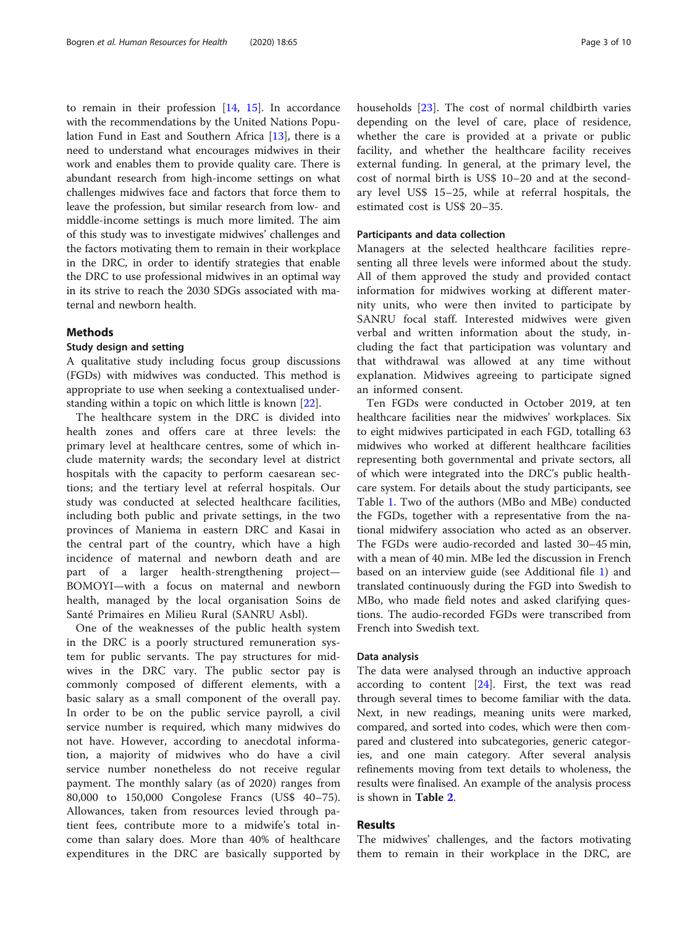to remain in their profession  $[14, 15]$  $[14, 15]$  $[14, 15]$  $[14, 15]$ . In accordance with the recommendations by the United Nations Population Fund in East and Southern Africa [\[13](#page-9-0)], there is a need to understand what encourages midwives in their work and enables them to provide quality care. There is abundant research from high-income settings on what challenges midwives face and factors that force them to leave the profession, but similar research from low- and middle-income settings is much more limited. The aim of this study was to investigate midwives' challenges and the factors motivating them to remain in their workplace in the DRC, in order to identify strategies that enable the DRC to use professional midwives in an optimal way in its strive to reach the 2030 SDGs associated with maternal and newborn health.

# Methods

### Study design and setting

A qualitative study including focus group discussions (FGDs) with midwives was conducted. This method is appropriate to use when seeking a contextualised understanding within a topic on which little is known [\[22\]](#page-9-0).

The healthcare system in the DRC is divided into health zones and offers care at three levels: the primary level at healthcare centres, some of which include maternity wards; the secondary level at district hospitals with the capacity to perform caesarean sections; and the tertiary level at referral hospitals. Our study was conducted at selected healthcare facilities, including both public and private settings, in the two provinces of Maniema in eastern DRC and Kasai in the central part of the country, which have a high incidence of maternal and newborn death and are part of a larger health-strengthening project— BOMOYI—with a focus on maternal and newborn health, managed by the local organisation Soins de Santé Primaires en Milieu Rural (SANRU Asbl).

One of the weaknesses of the public health system in the DRC is a poorly structured remuneration system for public servants. The pay structures for midwives in the DRC vary. The public sector pay is commonly composed of different elements, with a basic salary as a small component of the overall pay. In order to be on the public service payroll, a civil service number is required, which many midwives do not have. However, according to anecdotal information, a majority of midwives who do have a civil service number nonetheless do not receive regular payment. The monthly salary (as of 2020) ranges from 80,000 to 150,000 Congolese Francs (US\$ 40–75). Allowances, taken from resources levied through patient fees, contribute more to a midwife's total income than salary does. More than 40% of healthcare expenditures in the DRC are basically supported by households [\[23](#page-9-0)]. The cost of normal childbirth varies depending on the level of care, place of residence, whether the care is provided at a private or public facility, and whether the healthcare facility receives external funding. In general, at the primary level, the cost of normal birth is US\$ 10–20 and at the secondary level US\$ 15–25, while at referral hospitals, the estimated cost is US\$ 20–35.

# Participants and data collection

Managers at the selected healthcare facilities representing all three levels were informed about the study. All of them approved the study and provided contact information for midwives working at different maternity units, who were then invited to participate by SANRU focal staff. Interested midwives were given verbal and written information about the study, including the fact that participation was voluntary and that withdrawal was allowed at any time without explanation. Midwives agreeing to participate signed an informed consent.

Ten FGDs were conducted in October 2019, at ten healthcare facilities near the midwives' workplaces. Six to eight midwives participated in each FGD, totalling 63 midwives who worked at different healthcare facilities representing both governmental and private sectors, all of which were integrated into the DRC's public healthcare system. For details about the study participants, see Table [1](#page-3-0). Two of the authors (MBo and MBe) conducted the FGDs, together with a representative from the national midwifery association who acted as an observer. The FGDs were audio-recorded and lasted 30–45 min, with a mean of 40 min. MBe led the discussion in French based on an interview guide (see Additional file [1](#page-8-0)) and translated continuously during the FGD into Swedish to MBo, who made field notes and asked clarifying questions. The audio-recorded FGDs were transcribed from French into Swedish text.

# Data analysis

The data were analysed through an inductive approach according to content [[24](#page-9-0)]. First, the text was read through several times to become familiar with the data. Next, in new readings, meaning units were marked, compared, and sorted into codes, which were then compared and clustered into subcategories, generic categories, and one main category. After several analysis refinements moving from text details to wholeness, the results were finalised. An example of the analysis process is shown in Table [2](#page-3-0).

# Results

The midwives' challenges, and the factors motivating them to remain in their workplace in the DRC, are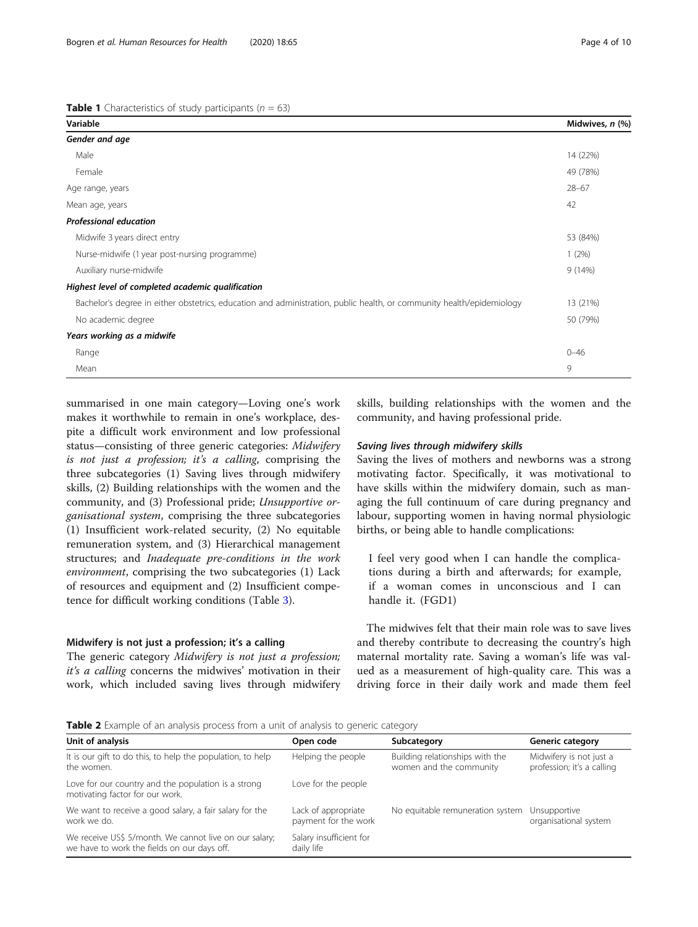summarised in one main category—Loving one's work makes it worthwhile to remain in one's workplace, despite a difficult work environment and low professional status—consisting of three generic categories: Midwifery is not just a profession; it's a calling, comprising the three subcategories (1) Saving lives through midwifery skills, (2) Building relationships with the women and the community, and (3) Professional pride; Unsupportive organisational system, comprising the three subcategories (1) Insufficient work-related security, (2) No equitable remuneration system, and (3) Hierarchical management structures; and Inadequate pre-conditions in the work environment, comprising the two subcategories (1) Lack of resources and equipment and (2) Insufficient competence for difficult working conditions (Table [3](#page-4-0)).

# Midwifery is not just a profession; it's a calling

The generic category Midwifery is not just a profession; it's a calling concerns the midwives' motivation in their work, which included saving lives through midwifery skills, building relationships with the women and the community, and having professional pride.

# Saving lives through midwifery skills

Saving the lives of mothers and newborns was a strong motivating factor. Specifically, it was motivational to have skills within the midwifery domain, such as managing the full continuum of care during pregnancy and labour, supporting women in having normal physiologic births, or being able to handle complications:

I feel very good when I can handle the complications during a birth and afterwards; for example, if a woman comes in unconscious and I can handle it. (FGD1)

The midwives felt that their main role was to save lives and thereby contribute to decreasing the country's high maternal mortality rate. Saving a woman's life was valued as a measurement of high-quality care. This was a driving force in their daily work and made them feel

# **Table 2** Example of an analysis process from a unit of analysis to generic category

| Unit of analysis                                                                                      | Open code                                   | Subcategory                                                | <b>Generic category</b>                               |
|-------------------------------------------------------------------------------------------------------|---------------------------------------------|------------------------------------------------------------|-------------------------------------------------------|
| It is our gift to do this, to help the population, to help<br>the women.                              | Helping the people                          | Building relationships with the<br>women and the community | Midwifery is not just a<br>profession; it's a calling |
| Love for our country and the population is a strong<br>motivating factor for our work.                | Love for the people                         |                                                            |                                                       |
| We want to receive a good salary, a fair salary for the<br>work we do.                                | Lack of appropriate<br>payment for the work | No equitable remuneration system                           | Unsupportive<br>organisational system                 |
| We receive US\$ 5/month. We cannot live on our salary;<br>we have to work the fields on our days off. | Salary insufficient for<br>daily life       |                                                            |                                                       |

<span id="page-3-0"></span>

|  | <b>Table 1</b> Characteristics of study participants ( $n = 63$ ) |  |  |  |
|--|-------------------------------------------------------------------|--|--|--|
|--|-------------------------------------------------------------------|--|--|--|

| Variable                                                                                                              | Midwives, n (%) |
|-----------------------------------------------------------------------------------------------------------------------|-----------------|
| Gender and age                                                                                                        |                 |
| Male                                                                                                                  | 14 (22%)        |
| Female                                                                                                                | 49 (78%)        |
| Age range, years                                                                                                      | $28 - 67$       |
| Mean age, years                                                                                                       | 42              |
| <b>Professional education</b>                                                                                         |                 |
| Midwife 3 years direct entry                                                                                          | 53 (84%)        |
| Nurse-midwife (1 year post-nursing programme)                                                                         | 1(2%)           |
| Auxiliary nurse-midwife                                                                                               | 9(14%)          |
| Highest level of completed academic qualification                                                                     |                 |
| Bachelor's degree in either obstetrics, education and administration, public health, or community health/epidemiology | 13 (21%)        |
| No academic degree                                                                                                    | 50 (79%)        |
| Years working as a midwife                                                                                            |                 |
| Range                                                                                                                 | $0 - 46$        |
| Mean                                                                                                                  | 9               |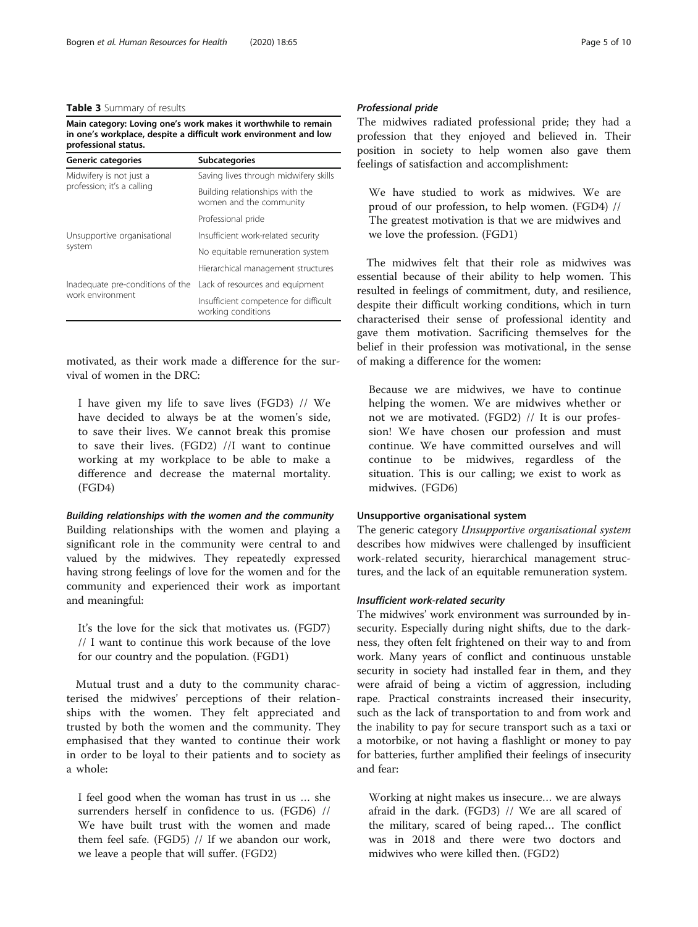#### <span id="page-4-0"></span>Table 3 Summary of results

Main category: Loving one's work makes it worthwhile to remain in one's workplace, despite a difficult work environment and low professional status.

| <b>Generic categories</b>             | <b>Subcategories</b>                                             |  |
|---------------------------------------|------------------------------------------------------------------|--|
| Midwifery is not just a               | Saving lives through midwifery skills                            |  |
| profession; it's a calling            | Building relationships with the<br>women and the community       |  |
|                                       | Professional pride                                               |  |
| Unsupportive organisational<br>system | Insufficient work-related security                               |  |
|                                       | No equitable remuneration system                                 |  |
|                                       | Hierarchical management structures                               |  |
| work environment                      | Inadequate pre-conditions of the Lack of resources and equipment |  |
|                                       | Insufficient competence for difficult<br>working conditions      |  |

motivated, as their work made a difference for the survival of women in the DRC:

I have given my life to save lives (FGD3) // We have decided to always be at the women's side, to save their lives. We cannot break this promise to save their lives. (FGD2) //I want to continue working at my workplace to be able to make a difference and decrease the maternal mortality. (FGD4)

#### Building relationships with the women and the community

Building relationships with the women and playing a significant role in the community were central to and valued by the midwives. They repeatedly expressed having strong feelings of love for the women and for the community and experienced their work as important and meaningful:

It's the love for the sick that motivates us. (FGD7) // I want to continue this work because of the love for our country and the population. (FGD1)

Mutual trust and a duty to the community characterised the midwives' perceptions of their relationships with the women. They felt appreciated and trusted by both the women and the community. They emphasised that they wanted to continue their work in order to be loyal to their patients and to society as a whole:

I feel good when the woman has trust in us … she surrenders herself in confidence to us. (FGD6) // We have built trust with the women and made them feel safe. (FGD5) // If we abandon our work, we leave a people that will suffer. (FGD2)

# Professional pride

The midwives radiated professional pride; they had a profession that they enjoyed and believed in. Their position in society to help women also gave them feelings of satisfaction and accomplishment:

We have studied to work as midwives. We are proud of our profession, to help women. (FGD4) // The greatest motivation is that we are midwives and we love the profession. (FGD1)

The midwives felt that their role as midwives was essential because of their ability to help women. This resulted in feelings of commitment, duty, and resilience, despite their difficult working conditions, which in turn characterised their sense of professional identity and gave them motivation. Sacrificing themselves for the belief in their profession was motivational, in the sense of making a difference for the women:

Because we are midwives, we have to continue helping the women. We are midwives whether or not we are motivated. (FGD2) // It is our profession! We have chosen our profession and must continue. We have committed ourselves and will continue to be midwives, regardless of the situation. This is our calling; we exist to work as midwives. (FGD6)

#### Unsupportive organisational system

The generic category Unsupportive organisational system describes how midwives were challenged by insufficient work-related security, hierarchical management structures, and the lack of an equitable remuneration system.

# Insufficient work-related security

The midwives' work environment was surrounded by insecurity. Especially during night shifts, due to the darkness, they often felt frightened on their way to and from work. Many years of conflict and continuous unstable security in society had installed fear in them, and they were afraid of being a victim of aggression, including rape. Practical constraints increased their insecurity, such as the lack of transportation to and from work and the inability to pay for secure transport such as a taxi or a motorbike, or not having a flashlight or money to pay for batteries, further amplified their feelings of insecurity and fear:

Working at night makes us insecure… we are always afraid in the dark. (FGD3) // We are all scared of the military, scared of being raped… The conflict was in 2018 and there were two doctors and midwives who were killed then. (FGD2)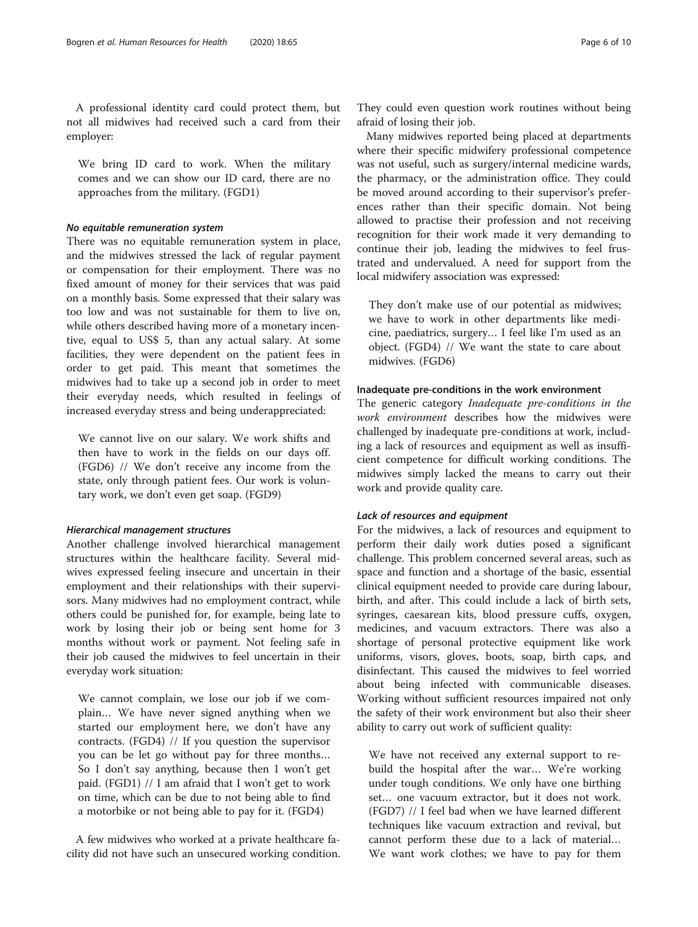A professional identity card could protect them, but not all midwives had received such a card from their employer:

We bring ID card to work. When the military comes and we can show our ID card, there are no approaches from the military. (FGD1)

## No equitable remuneration system

There was no equitable remuneration system in place, and the midwives stressed the lack of regular payment or compensation for their employment. There was no fixed amount of money for their services that was paid on a monthly basis. Some expressed that their salary was too low and was not sustainable for them to live on, while others described having more of a monetary incentive, equal to US\$ 5, than any actual salary. At some facilities, they were dependent on the patient fees in order to get paid. This meant that sometimes the midwives had to take up a second job in order to meet their everyday needs, which resulted in feelings of increased everyday stress and being underappreciated:

We cannot live on our salary. We work shifts and then have to work in the fields on our days off. (FGD6) // We don't receive any income from the state, only through patient fees. Our work is voluntary work, we don't even get soap. (FGD9)

#### Hierarchical management structures

Another challenge involved hierarchical management structures within the healthcare facility. Several midwives expressed feeling insecure and uncertain in their employment and their relationships with their supervisors. Many midwives had no employment contract, while others could be punished for, for example, being late to work by losing their job or being sent home for 3 months without work or payment. Not feeling safe in their job caused the midwives to feel uncertain in their everyday work situation:

We cannot complain, we lose our job if we complain… We have never signed anything when we started our employment here, we don't have any contracts. (FGD4) // If you question the supervisor you can be let go without pay for three months… So I don't say anything, because then I won't get paid. (FGD1) // I am afraid that I won't get to work on time, which can be due to not being able to find a motorbike or not being able to pay for it. (FGD4)

A few midwives who worked at a private healthcare facility did not have such an unsecured working condition.

They could even question work routines without being afraid of losing their job.

Many midwives reported being placed at departments where their specific midwifery professional competence was not useful, such as surgery/internal medicine wards, the pharmacy, or the administration office. They could be moved around according to their supervisor's preferences rather than their specific domain. Not being allowed to practise their profession and not receiving recognition for their work made it very demanding to continue their job, leading the midwives to feel frustrated and undervalued. A need for support from the local midwifery association was expressed:

They don't make use of our potential as midwives; we have to work in other departments like medicine, paediatrics, surgery… I feel like I'm used as an object. (FGD4) // We want the state to care about midwives. (FGD6)

# Inadequate pre-conditions in the work environment

The generic category Inadequate pre-conditions in the work environment describes how the midwives were challenged by inadequate pre-conditions at work, including a lack of resources and equipment as well as insufficient competence for difficult working conditions. The midwives simply lacked the means to carry out their work and provide quality care.

#### Lack of resources and equipment

For the midwives, a lack of resources and equipment to perform their daily work duties posed a significant challenge. This problem concerned several areas, such as space and function and a shortage of the basic, essential clinical equipment needed to provide care during labour, birth, and after. This could include a lack of birth sets, syringes, caesarean kits, blood pressure cuffs, oxygen, medicines, and vacuum extractors. There was also a shortage of personal protective equipment like work uniforms, visors, gloves, boots, soap, birth caps, and disinfectant. This caused the midwives to feel worried about being infected with communicable diseases. Working without sufficient resources impaired not only the safety of their work environment but also their sheer ability to carry out work of sufficient quality:

We have not received any external support to rebuild the hospital after the war… We're working under tough conditions. We only have one birthing set… one vacuum extractor, but it does not work. (FGD7) // I feel bad when we have learned different techniques like vacuum extraction and revival, but cannot perform these due to a lack of material… We want work clothes; we have to pay for them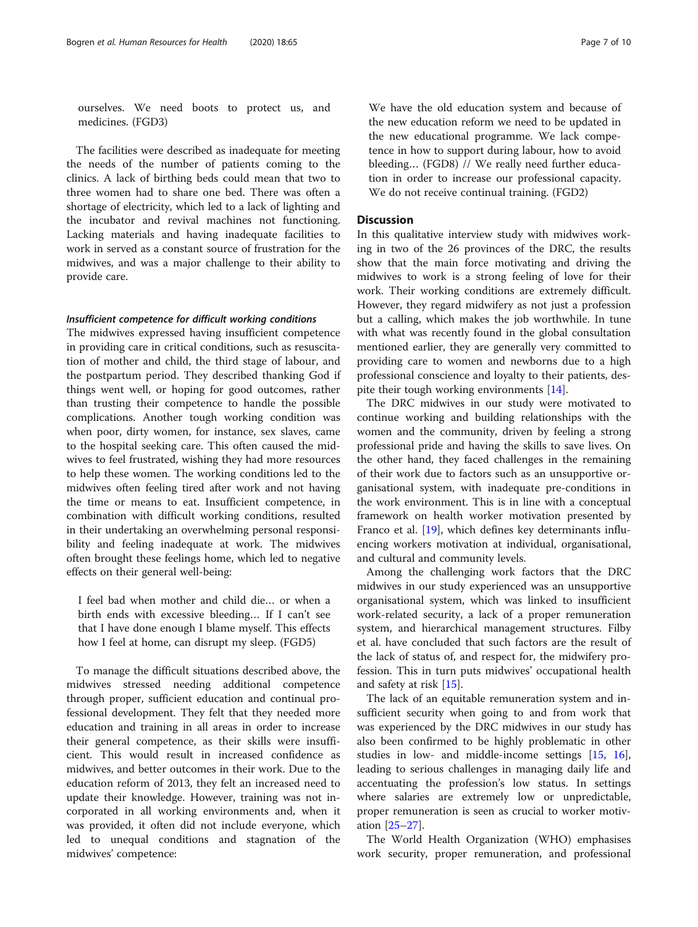ourselves. We need boots to protect us, and medicines. (FGD3)

The facilities were described as inadequate for meeting the needs of the number of patients coming to the clinics. A lack of birthing beds could mean that two to three women had to share one bed. There was often a shortage of electricity, which led to a lack of lighting and the incubator and revival machines not functioning. Lacking materials and having inadequate facilities to work in served as a constant source of frustration for the midwives, and was a major challenge to their ability to provide care.

# Insufficient competence for difficult working conditions

The midwives expressed having insufficient competence in providing care in critical conditions, such as resuscitation of mother and child, the third stage of labour, and the postpartum period. They described thanking God if things went well, or hoping for good outcomes, rather than trusting their competence to handle the possible complications. Another tough working condition was when poor, dirty women, for instance, sex slaves, came to the hospital seeking care. This often caused the midwives to feel frustrated, wishing they had more resources to help these women. The working conditions led to the midwives often feeling tired after work and not having the time or means to eat. Insufficient competence, in combination with difficult working conditions, resulted in their undertaking an overwhelming personal responsibility and feeling inadequate at work. The midwives often brought these feelings home, which led to negative effects on their general well-being:

I feel bad when mother and child die… or when a birth ends with excessive bleeding… If I can't see that I have done enough I blame myself. This effects how I feel at home, can disrupt my sleep. (FGD5)

To manage the difficult situations described above, the midwives stressed needing additional competence through proper, sufficient education and continual professional development. They felt that they needed more education and training in all areas in order to increase their general competence, as their skills were insufficient. This would result in increased confidence as midwives, and better outcomes in their work. Due to the education reform of 2013, they felt an increased need to update their knowledge. However, training was not incorporated in all working environments and, when it was provided, it often did not include everyone, which led to unequal conditions and stagnation of the midwives' competence:

We have the old education system and because of the new education reform we need to be updated in the new educational programme. We lack competence in how to support during labour, how to avoid bleeding... (FGD8) // We really need further education in order to increase our professional capacity. We do not receive continual training. (FGD2)

### **Discussion**

In this qualitative interview study with midwives working in two of the 26 provinces of the DRC, the results show that the main force motivating and driving the midwives to work is a strong feeling of love for their work. Their working conditions are extremely difficult. However, they regard midwifery as not just a profession but a calling, which makes the job worthwhile. In tune with what was recently found in the global consultation mentioned earlier, they are generally very committed to providing care to women and newborns due to a high professional conscience and loyalty to their patients, des-pite their tough working environments [[14\]](#page-9-0).

The DRC midwives in our study were motivated to continue working and building relationships with the women and the community, driven by feeling a strong professional pride and having the skills to save lives. On the other hand, they faced challenges in the remaining of their work due to factors such as an unsupportive organisational system, with inadequate pre-conditions in the work environment. This is in line with a conceptual framework on health worker motivation presented by Franco et al. [\[19\]](#page-9-0), which defines key determinants influencing workers motivation at individual, organisational, and cultural and community levels.

Among the challenging work factors that the DRC midwives in our study experienced was an unsupportive organisational system, which was linked to insufficient work-related security, a lack of a proper remuneration system, and hierarchical management structures. Filby et al. have concluded that such factors are the result of the lack of status of, and respect for, the midwifery profession. This in turn puts midwives' occupational health and safety at risk [\[15\]](#page-9-0).

The lack of an equitable remuneration system and insufficient security when going to and from work that was experienced by the DRC midwives in our study has also been confirmed to be highly problematic in other studies in low- and middle-income settings [[15](#page-9-0), [16](#page-9-0)], leading to serious challenges in managing daily life and accentuating the profession's low status. In settings where salaries are extremely low or unpredictable, proper remuneration is seen as crucial to worker motivation [\[25](#page-9-0)–[27](#page-9-0)].

The World Health Organization (WHO) emphasises work security, proper remuneration, and professional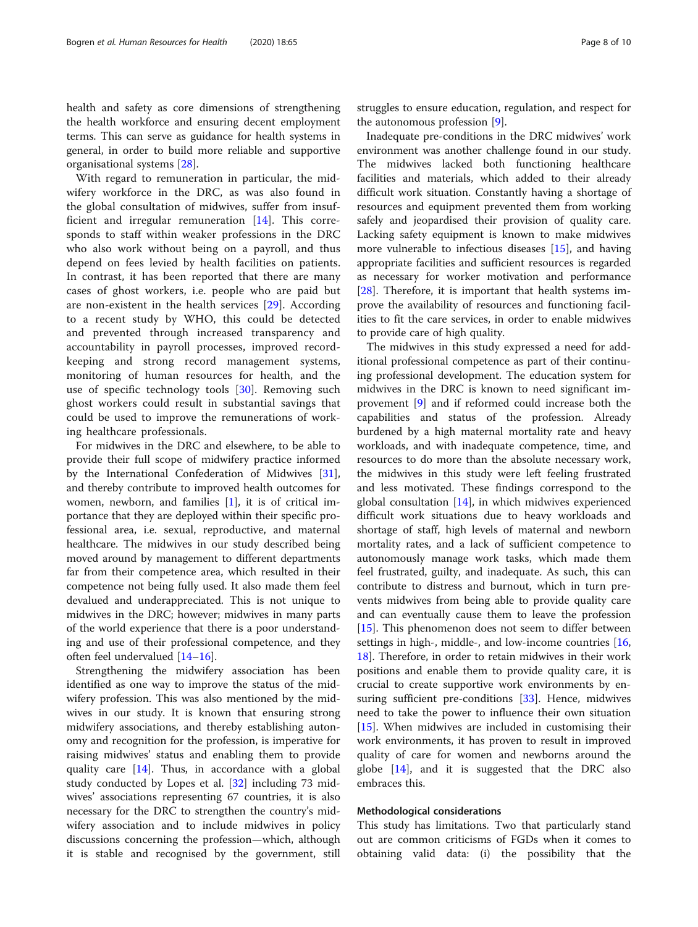health and safety as core dimensions of strengthening the health workforce and ensuring decent employment terms. This can serve as guidance for health systems in general, in order to build more reliable and supportive organisational systems [\[28](#page-9-0)].

With regard to remuneration in particular, the midwifery workforce in the DRC, as was also found in the global consultation of midwives, suffer from insufficient and irregular remuneration [[14\]](#page-9-0). This corresponds to staff within weaker professions in the DRC who also work without being on a payroll, and thus depend on fees levied by health facilities on patients. In contrast, it has been reported that there are many cases of ghost workers, i.e. people who are paid but are non-existent in the health services [[29\]](#page-9-0). According to a recent study by WHO, this could be detected and prevented through increased transparency and accountability in payroll processes, improved recordkeeping and strong record management systems, monitoring of human resources for health, and the use of specific technology tools [[30](#page-9-0)]. Removing such ghost workers could result in substantial savings that could be used to improve the remunerations of working healthcare professionals.

For midwives in the DRC and elsewhere, to be able to provide their full scope of midwifery practice informed by the International Confederation of Midwives [\[31](#page-9-0)], and thereby contribute to improved health outcomes for women, newborn, and families  $[1]$ , it is of critical importance that they are deployed within their specific professional area, i.e. sexual, reproductive, and maternal healthcare. The midwives in our study described being moved around by management to different departments far from their competence area, which resulted in their competence not being fully used. It also made them feel devalued and underappreciated. This is not unique to midwives in the DRC; however; midwives in many parts of the world experience that there is a poor understanding and use of their professional competence, and they often feel undervalued [\[14](#page-9-0)–[16\]](#page-9-0).

Strengthening the midwifery association has been identified as one way to improve the status of the midwifery profession. This was also mentioned by the midwives in our study. It is known that ensuring strong midwifery associations, and thereby establishing autonomy and recognition for the profession, is imperative for raising midwives' status and enabling them to provide quality care [\[14](#page-9-0)]. Thus, in accordance with a global study conducted by Lopes et al. [\[32](#page-9-0)] including 73 midwives' associations representing 67 countries, it is also necessary for the DRC to strengthen the country's midwifery association and to include midwives in policy discussions concerning the profession—which, although it is stable and recognised by the government, still struggles to ensure education, regulation, and respect for the autonomous profession [\[9](#page-9-0)].

Inadequate pre-conditions in the DRC midwives' work environment was another challenge found in our study. The midwives lacked both functioning healthcare facilities and materials, which added to their already difficult work situation. Constantly having a shortage of resources and equipment prevented them from working safely and jeopardised their provision of quality care. Lacking safety equipment is known to make midwives more vulnerable to infectious diseases [[15\]](#page-9-0), and having appropriate facilities and sufficient resources is regarded as necessary for worker motivation and performance [[28\]](#page-9-0). Therefore, it is important that health systems improve the availability of resources and functioning facilities to fit the care services, in order to enable midwives to provide care of high quality.

The midwives in this study expressed a need for additional professional competence as part of their continuing professional development. The education system for midwives in the DRC is known to need significant improvement [\[9](#page-9-0)] and if reformed could increase both the capabilities and status of the profession. Already burdened by a high maternal mortality rate and heavy workloads, and with inadequate competence, time, and resources to do more than the absolute necessary work, the midwives in this study were left feeling frustrated and less motivated. These findings correspond to the global consultation  $[14]$  $[14]$ , in which midwives experienced difficult work situations due to heavy workloads and shortage of staff, high levels of maternal and newborn mortality rates, and a lack of sufficient competence to autonomously manage work tasks, which made them feel frustrated, guilty, and inadequate. As such, this can contribute to distress and burnout, which in turn prevents midwives from being able to provide quality care and can eventually cause them to leave the profession [[15\]](#page-9-0). This phenomenon does not seem to differ between settings in high-, middle-, and low-income countries [[16](#page-9-0), [18\]](#page-9-0). Therefore, in order to retain midwives in their work positions and enable them to provide quality care, it is crucial to create supportive work environments by en-suring sufficient pre-conditions [\[33](#page-9-0)]. Hence, midwives need to take the power to influence their own situation [[15\]](#page-9-0). When midwives are included in customising their work environments, it has proven to result in improved quality of care for women and newborns around the globe [[14\]](#page-9-0), and it is suggested that the DRC also embraces this.

#### Methodological considerations

This study has limitations. Two that particularly stand out are common criticisms of FGDs when it comes to obtaining valid data: (i) the possibility that the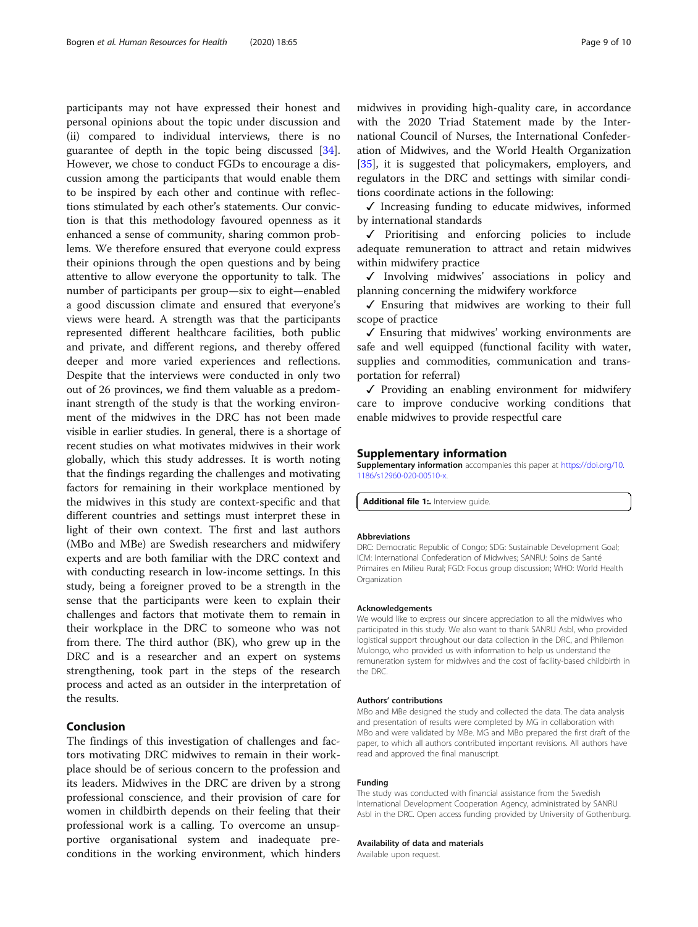<span id="page-8-0"></span>participants may not have expressed their honest and personal opinions about the topic under discussion and (ii) compared to individual interviews, there is no guarantee of depth in the topic being discussed [\[34](#page-9-0)]. However, we chose to conduct FGDs to encourage a discussion among the participants that would enable them to be inspired by each other and continue with reflections stimulated by each other's statements. Our conviction is that this methodology favoured openness as it enhanced a sense of community, sharing common problems. We therefore ensured that everyone could express their opinions through the open questions and by being attentive to allow everyone the opportunity to talk. The number of participants per group—six to eight—enabled a good discussion climate and ensured that everyone's views were heard. A strength was that the participants represented different healthcare facilities, both public and private, and different regions, and thereby offered deeper and more varied experiences and reflections. Despite that the interviews were conducted in only two out of 26 provinces, we find them valuable as a predominant strength of the study is that the working environment of the midwives in the DRC has not been made visible in earlier studies. In general, there is a shortage of recent studies on what motivates midwives in their work globally, which this study addresses. It is worth noting that the findings regarding the challenges and motivating factors for remaining in their workplace mentioned by the midwives in this study are context-specific and that different countries and settings must interpret these in light of their own context. The first and last authors (MBo and MBe) are Swedish researchers and midwifery experts and are both familiar with the DRC context and with conducting research in low-income settings. In this study, being a foreigner proved to be a strength in the sense that the participants were keen to explain their challenges and factors that motivate them to remain in their workplace in the DRC to someone who was not from there. The third author (BK), who grew up in the DRC and is a researcher and an expert on systems strengthening, took part in the steps of the research process and acted as an outsider in the interpretation of the results.

# Conclusion

The findings of this investigation of challenges and factors motivating DRC midwives to remain in their workplace should be of serious concern to the profession and its leaders. Midwives in the DRC are driven by a strong professional conscience, and their provision of care for women in childbirth depends on their feeling that their professional work is a calling. To overcome an unsupportive organisational system and inadequate preconditions in the working environment, which hinders midwives in providing high-quality care, in accordance with the 2020 Triad Statement made by the International Council of Nurses, the International Confederation of Midwives, and the World Health Organization [[35\]](#page-9-0), it is suggested that policymakers, employers, and regulators in the DRC and settings with similar conditions coordinate actions in the following:

✓ Increasing funding to educate midwives, informed by international standards

✓ Prioritising and enforcing policies to include adequate remuneration to attract and retain midwives within midwifery practice

✓ Involving midwives' associations in policy and planning concerning the midwifery workforce

✓ Ensuring that midwives are working to their full scope of practice

✓ Ensuring that midwives' working environments are safe and well equipped (functional facility with water, supplies and commodities, communication and transportation for referral)

✓ Providing an enabling environment for midwifery care to improve conducive working conditions that enable midwives to provide respectful care

#### Supplementary information

Supplementary information accompanies this paper at [https://doi.org/10.](https://doi.org/10.1186/s12960-020-00510-x) [1186/s12960-020-00510-x.](https://doi.org/10.1186/s12960-020-00510-x)

Additional file 1:. Interview quide.

#### Abbreviations

DRC: Democratic Republic of Congo; SDG: Sustainable Development Goal; ICM: International Confederation of Midwives; SANRU: Soins de Santé Primaires en Milieu Rural; FGD: Focus group discussion; WHO: World Health Organization

#### Acknowledgements

We would like to express our sincere appreciation to all the midwives who participated in this study. We also want to thank SANRU Asbl, who provided logistical support throughout our data collection in the DRC, and Philemon Mulongo, who provided us with information to help us understand the remuneration system for midwives and the cost of facility-based childbirth in the DRC.

#### Authors' contributions

MBo and MBe designed the study and collected the data. The data analysis and presentation of results were completed by MG in collaboration with MBo and were validated by MBe. MG and MBo prepared the first draft of the paper, to which all authors contributed important revisions. All authors have read and approved the final manuscript.

#### Funding

The study was conducted with financial assistance from the Swedish International Development Cooperation Agency, administrated by SANRU Asbl in the DRC. Open access funding provided by University of Gothenburg.

#### Availability of data and materials

Available upon request.